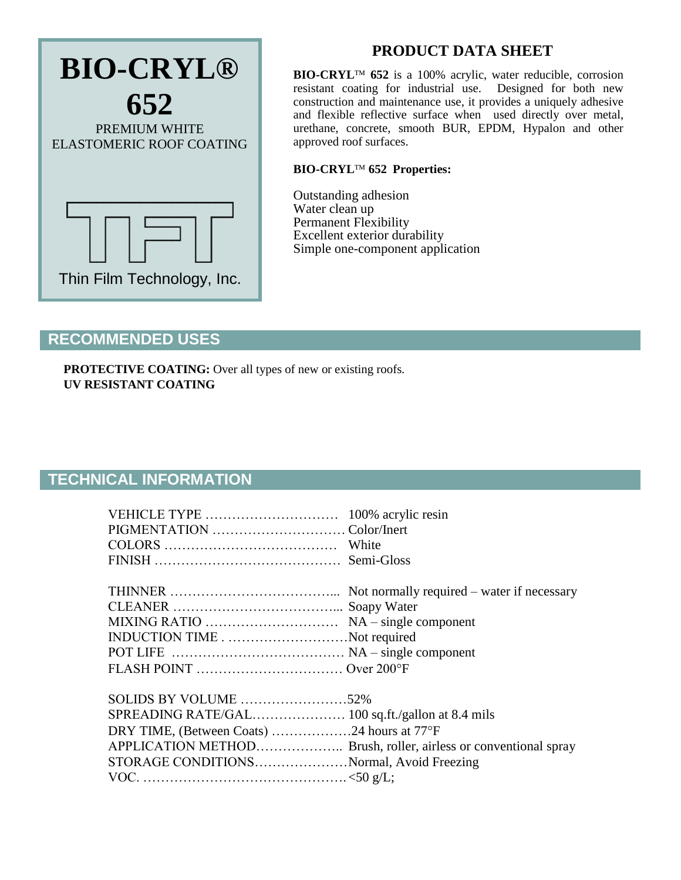

# **PRODUCT DATA SHEET**

BIO-CRYL<sup>TM</sup> 652 is a 100% acrylic, water reducible, corrosion resistant coating for industrial use. Designed for both new construction and maintenance use, it provides a uniquely adhesive and flexible reflective surface when used directly over metal, urethane, concrete, smooth BUR, EPDM, Hypalon and other approved roof surfaces.

### **BIO-CRYL 652 Properties:**

Outstanding adhesion Water clean up Permanent Flexibility Excellent exterior durability Simple one-component application

### **RECOMMENDED USES**

**PROTECTIVE COATING:** Over all types of new or existing roofs. **UV RESISTANT COATING**

## **TECHNICAL INFORMATION**

| INDUCTION TIMENot required                                                             |  |
|----------------------------------------------------------------------------------------|--|
| DRY TIME, (Between Coats) 24 hours at 77°F<br>STORAGE CONDITIONSNormal, Avoid Freezing |  |